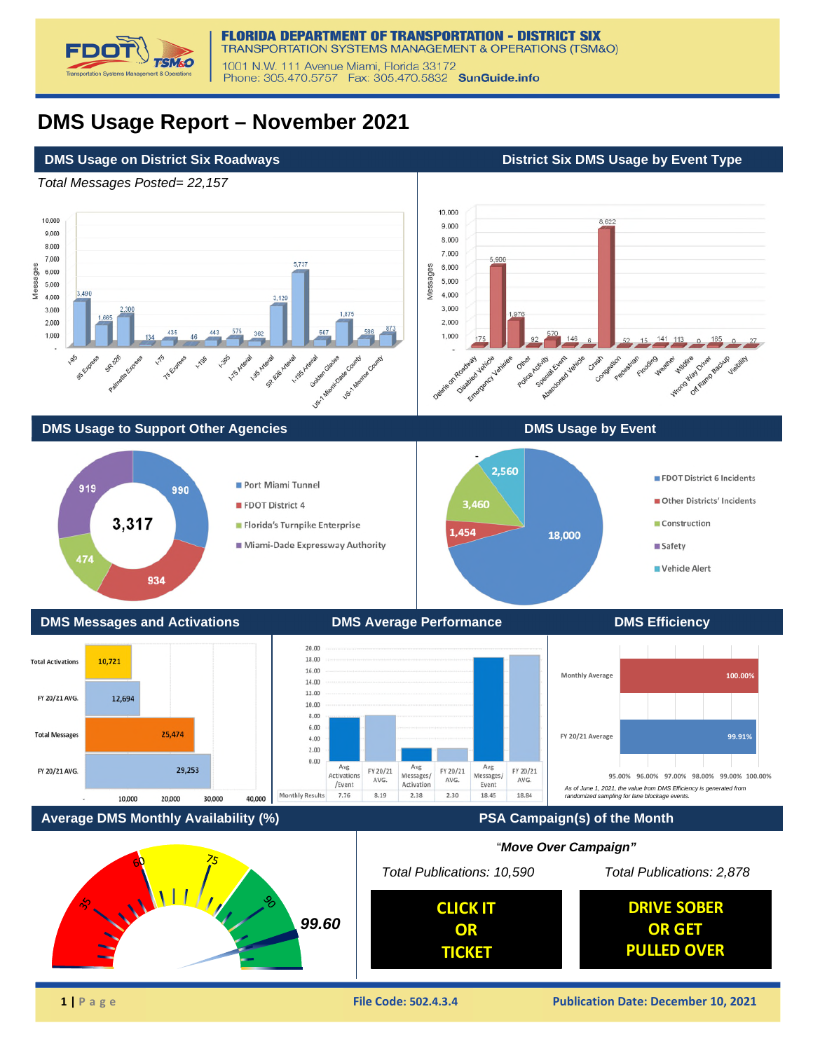

## **DMS Usage Report – November 2021**

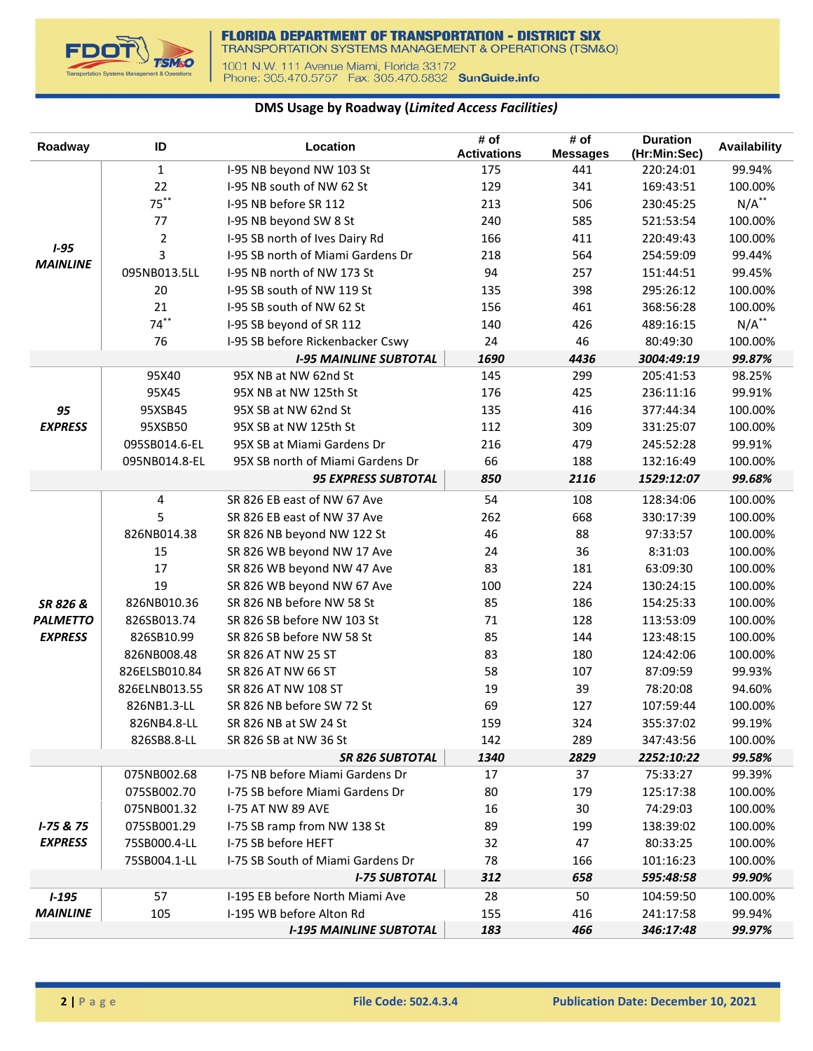

## **DMS Usage by Roadway (***Limited Access Facilities)*

| <b>Activations</b><br>(Hr:Min:Sec)<br><b>Messages</b><br>$\mathbf{1}$<br>I-95 NB beyond NW 103 St<br>175<br>441<br>220:24:01<br>99.94%<br>22<br>I-95 NB south of NW 62 St<br>129<br>341<br>169:43:51<br>100.00%<br>$75***$<br>$N/A$ <sup>**</sup><br>I-95 NB before SR 112<br>213<br>506<br>230:45:25<br>585<br>77<br>I-95 NB beyond SW 8 St<br>240<br>100.00%<br>521:53:54<br>$\overline{2}$<br>166<br>411<br>I-95 SB north of Ives Dairy Rd<br>220:49:43<br>100.00%<br>$1 - 95$<br>3<br>564<br>I-95 SB north of Miami Gardens Dr<br>218<br>254:59:09<br>99.44%<br><b>MAINLINE</b><br>I-95 NB north of NW 173 St<br>94<br>095NB013.5LL<br>257<br>99.45%<br>151:44:51<br>20<br>398<br>I-95 SB south of NW 119 St<br>135<br>295:26:12<br>100.00%<br>21<br>I-95 SB south of NW 62 St<br>156<br>461<br>100.00%<br>368:56:28<br>$74***$<br>$N/A$ **<br>I-95 SB beyond of SR 112<br>140<br>426<br>489:16:15<br>24<br>46<br>76<br>I-95 SB before Rickenbacker Cswy<br>100.00%<br>80:49:30<br>1690<br>4436<br>99.87%<br><b>I-95 MAINLINE SUBTOTAL</b><br>3004:49:19<br>95X40<br>95X NB at NW 62nd St<br>145<br>299<br>205:41:53<br>98.25% | Availability |
|------------------------------------------------------------------------------------------------------------------------------------------------------------------------------------------------------------------------------------------------------------------------------------------------------------------------------------------------------------------------------------------------------------------------------------------------------------------------------------------------------------------------------------------------------------------------------------------------------------------------------------------------------------------------------------------------------------------------------------------------------------------------------------------------------------------------------------------------------------------------------------------------------------------------------------------------------------------------------------------------------------------------------------------------------------------------------------------------------------------------------------|--------------|
|                                                                                                                                                                                                                                                                                                                                                                                                                                                                                                                                                                                                                                                                                                                                                                                                                                                                                                                                                                                                                                                                                                                                    |              |
|                                                                                                                                                                                                                                                                                                                                                                                                                                                                                                                                                                                                                                                                                                                                                                                                                                                                                                                                                                                                                                                                                                                                    |              |
|                                                                                                                                                                                                                                                                                                                                                                                                                                                                                                                                                                                                                                                                                                                                                                                                                                                                                                                                                                                                                                                                                                                                    |              |
|                                                                                                                                                                                                                                                                                                                                                                                                                                                                                                                                                                                                                                                                                                                                                                                                                                                                                                                                                                                                                                                                                                                                    |              |
|                                                                                                                                                                                                                                                                                                                                                                                                                                                                                                                                                                                                                                                                                                                                                                                                                                                                                                                                                                                                                                                                                                                                    |              |
|                                                                                                                                                                                                                                                                                                                                                                                                                                                                                                                                                                                                                                                                                                                                                                                                                                                                                                                                                                                                                                                                                                                                    |              |
|                                                                                                                                                                                                                                                                                                                                                                                                                                                                                                                                                                                                                                                                                                                                                                                                                                                                                                                                                                                                                                                                                                                                    |              |
|                                                                                                                                                                                                                                                                                                                                                                                                                                                                                                                                                                                                                                                                                                                                                                                                                                                                                                                                                                                                                                                                                                                                    |              |
|                                                                                                                                                                                                                                                                                                                                                                                                                                                                                                                                                                                                                                                                                                                                                                                                                                                                                                                                                                                                                                                                                                                                    |              |
|                                                                                                                                                                                                                                                                                                                                                                                                                                                                                                                                                                                                                                                                                                                                                                                                                                                                                                                                                                                                                                                                                                                                    |              |
|                                                                                                                                                                                                                                                                                                                                                                                                                                                                                                                                                                                                                                                                                                                                                                                                                                                                                                                                                                                                                                                                                                                                    |              |
|                                                                                                                                                                                                                                                                                                                                                                                                                                                                                                                                                                                                                                                                                                                                                                                                                                                                                                                                                                                                                                                                                                                                    |              |
|                                                                                                                                                                                                                                                                                                                                                                                                                                                                                                                                                                                                                                                                                                                                                                                                                                                                                                                                                                                                                                                                                                                                    |              |
| 176<br>95X45<br>95X NB at NW 125th St<br>425<br>236:11:16<br>99.91%                                                                                                                                                                                                                                                                                                                                                                                                                                                                                                                                                                                                                                                                                                                                                                                                                                                                                                                                                                                                                                                                |              |
| 416<br>95XSB45<br>95X SB at NW 62nd St<br>135<br>100.00%<br>377:44:34<br>95                                                                                                                                                                                                                                                                                                                                                                                                                                                                                                                                                                                                                                                                                                                                                                                                                                                                                                                                                                                                                                                        |              |
| 309<br><b>EXPRESS</b><br>95XSB50<br>95X SB at NW 125th St<br>112<br>100.00%<br>331:25:07                                                                                                                                                                                                                                                                                                                                                                                                                                                                                                                                                                                                                                                                                                                                                                                                                                                                                                                                                                                                                                           |              |
| 216<br>095SB014.6-EL<br>95X SB at Miami Gardens Dr<br>479<br>99.91%<br>245:52:28                                                                                                                                                                                                                                                                                                                                                                                                                                                                                                                                                                                                                                                                                                                                                                                                                                                                                                                                                                                                                                                   |              |
| 66<br>188<br>095NB014.8-EL<br>95X SB north of Miami Gardens Dr<br>132:16:49<br>100.00%                                                                                                                                                                                                                                                                                                                                                                                                                                                                                                                                                                                                                                                                                                                                                                                                                                                                                                                                                                                                                                             |              |
| <b>95 EXPRESS SUBTOTAL</b><br>850<br>2116<br>99.68%<br>1529:12:07                                                                                                                                                                                                                                                                                                                                                                                                                                                                                                                                                                                                                                                                                                                                                                                                                                                                                                                                                                                                                                                                  |              |
| $\overline{4}$<br>54<br>108<br>SR 826 EB east of NW 67 Ave<br>128:34:06<br>100.00%                                                                                                                                                                                                                                                                                                                                                                                                                                                                                                                                                                                                                                                                                                                                                                                                                                                                                                                                                                                                                                                 |              |
| 5<br>SR 826 EB east of NW 37 Ave<br>262<br>668<br>330:17:39<br>100.00%                                                                                                                                                                                                                                                                                                                                                                                                                                                                                                                                                                                                                                                                                                                                                                                                                                                                                                                                                                                                                                                             |              |
| 826NB014.38<br>46<br>88<br>97:33:57<br>SR 826 NB beyond NW 122 St<br>100.00%                                                                                                                                                                                                                                                                                                                                                                                                                                                                                                                                                                                                                                                                                                                                                                                                                                                                                                                                                                                                                                                       |              |
| 36<br>15<br>SR 826 WB beyond NW 17 Ave<br>24<br>8:31:03<br>100.00%                                                                                                                                                                                                                                                                                                                                                                                                                                                                                                                                                                                                                                                                                                                                                                                                                                                                                                                                                                                                                                                                 |              |
| 17<br>83<br>181<br>SR 826 WB beyond NW 47 Ave<br>63:09:30<br>100.00%                                                                                                                                                                                                                                                                                                                                                                                                                                                                                                                                                                                                                                                                                                                                                                                                                                                                                                                                                                                                                                                               |              |
| 19<br>224<br>SR 826 WB beyond NW 67 Ave<br>100<br>100.00%<br>130:24:15                                                                                                                                                                                                                                                                                                                                                                                                                                                                                                                                                                                                                                                                                                                                                                                                                                                                                                                                                                                                                                                             |              |
| SR 826 NB before NW 58 St<br>85<br>186<br>826NB010.36<br>100.00%<br>154:25:33<br>SR 826 &                                                                                                                                                                                                                                                                                                                                                                                                                                                                                                                                                                                                                                                                                                                                                                                                                                                                                                                                                                                                                                          |              |
| 826SB013.74<br>SR 826 SB before NW 103 St<br>71<br>128<br>113:53:09<br>100.00%<br><b>PALMETTO</b>                                                                                                                                                                                                                                                                                                                                                                                                                                                                                                                                                                                                                                                                                                                                                                                                                                                                                                                                                                                                                                  |              |
| <b>EXPRESS</b><br>85<br>826SB10.99<br>SR 826 SB before NW 58 St<br>144<br>123:48:15<br>100.00%                                                                                                                                                                                                                                                                                                                                                                                                                                                                                                                                                                                                                                                                                                                                                                                                                                                                                                                                                                                                                                     |              |
| 826NB008.48<br>SR 826 AT NW 25 ST<br>83<br>180<br>124:42:06<br>100.00%                                                                                                                                                                                                                                                                                                                                                                                                                                                                                                                                                                                                                                                                                                                                                                                                                                                                                                                                                                                                                                                             |              |
| SR 826 AT NW 66 ST<br>58<br>107<br>87:09:59<br>99.93%<br>826ELSB010.84                                                                                                                                                                                                                                                                                                                                                                                                                                                                                                                                                                                                                                                                                                                                                                                                                                                                                                                                                                                                                                                             |              |
| 39<br>826ELNB013.55<br>SR 826 AT NW 108 ST<br>19<br>94.60%<br>78:20:08                                                                                                                                                                                                                                                                                                                                                                                                                                                                                                                                                                                                                                                                                                                                                                                                                                                                                                                                                                                                                                                             |              |
| 69<br>826NB1.3-LL<br>SR 826 NB before SW 72 St<br>127<br>100.00%<br>107:59:44                                                                                                                                                                                                                                                                                                                                                                                                                                                                                                                                                                                                                                                                                                                                                                                                                                                                                                                                                                                                                                                      |              |
| 159<br>324<br>826NB4.8-LL<br>SR 826 NB at SW 24 St<br>355:37:02<br>99.19%                                                                                                                                                                                                                                                                                                                                                                                                                                                                                                                                                                                                                                                                                                                                                                                                                                                                                                                                                                                                                                                          |              |
| 289<br>826SB8.8-LL<br>SR 826 SB at NW 36 St<br>142<br>347:43:56<br>100.00%                                                                                                                                                                                                                                                                                                                                                                                                                                                                                                                                                                                                                                                                                                                                                                                                                                                                                                                                                                                                                                                         |              |
| 2829<br><b>SR 826 SUBTOTAL</b><br>1340<br>2252:10:22<br>99.58%                                                                                                                                                                                                                                                                                                                                                                                                                                                                                                                                                                                                                                                                                                                                                                                                                                                                                                                                                                                                                                                                     |              |
| I-75 NB before Miami Gardens Dr<br>17<br>37<br>075NB002.68<br>75:33:27<br>99.39%                                                                                                                                                                                                                                                                                                                                                                                                                                                                                                                                                                                                                                                                                                                                                                                                                                                                                                                                                                                                                                                   |              |
| 075SB002.70<br>I-75 SB before Miami Gardens Dr<br>80<br>179<br>125:17:38<br>100.00%                                                                                                                                                                                                                                                                                                                                                                                                                                                                                                                                                                                                                                                                                                                                                                                                                                                                                                                                                                                                                                                |              |
| 075NB001.32<br><b>I-75 AT NW 89 AVE</b><br>16<br>30<br>74:29:03<br>100.00%                                                                                                                                                                                                                                                                                                                                                                                                                                                                                                                                                                                                                                                                                                                                                                                                                                                                                                                                                                                                                                                         |              |
| I-75 SB ramp from NW 138 St<br>89<br>$I - 75 & 75$<br>075SB001.29<br>199<br>138:39:02<br>100.00%<br><b>EXPRESS</b>                                                                                                                                                                                                                                                                                                                                                                                                                                                                                                                                                                                                                                                                                                                                                                                                                                                                                                                                                                                                                 |              |
| I-75 SB before HEFT<br>47<br>75SB000.4-LL<br>32<br>80:33:25<br>100.00%                                                                                                                                                                                                                                                                                                                                                                                                                                                                                                                                                                                                                                                                                                                                                                                                                                                                                                                                                                                                                                                             |              |
| 75SB004.1-LL<br>I-75 SB South of Miami Gardens Dr<br>78<br>166<br>101:16:23<br>100.00%                                                                                                                                                                                                                                                                                                                                                                                                                                                                                                                                                                                                                                                                                                                                                                                                                                                                                                                                                                                                                                             |              |
| <b>I-75 SUBTOTAL</b><br>312<br>658<br>99.90%<br>595:48:58                                                                                                                                                                                                                                                                                                                                                                                                                                                                                                                                                                                                                                                                                                                                                                                                                                                                                                                                                                                                                                                                          |              |
| 57<br>I-195 EB before North Miami Ave<br>28<br>50<br>104:59:50<br>100.00%<br>$1 - 195$<br><b>MAINLINE</b><br>105<br>I-195 WB before Alton Rd<br>155<br>416<br>241:17:58<br>99.94%                                                                                                                                                                                                                                                                                                                                                                                                                                                                                                                                                                                                                                                                                                                                                                                                                                                                                                                                                  |              |
| <b>I-195 MAINLINE SUBTOTAL</b><br>183<br>466<br>346:17:48<br>99.97%                                                                                                                                                                                                                                                                                                                                                                                                                                                                                                                                                                                                                                                                                                                                                                                                                                                                                                                                                                                                                                                                |              |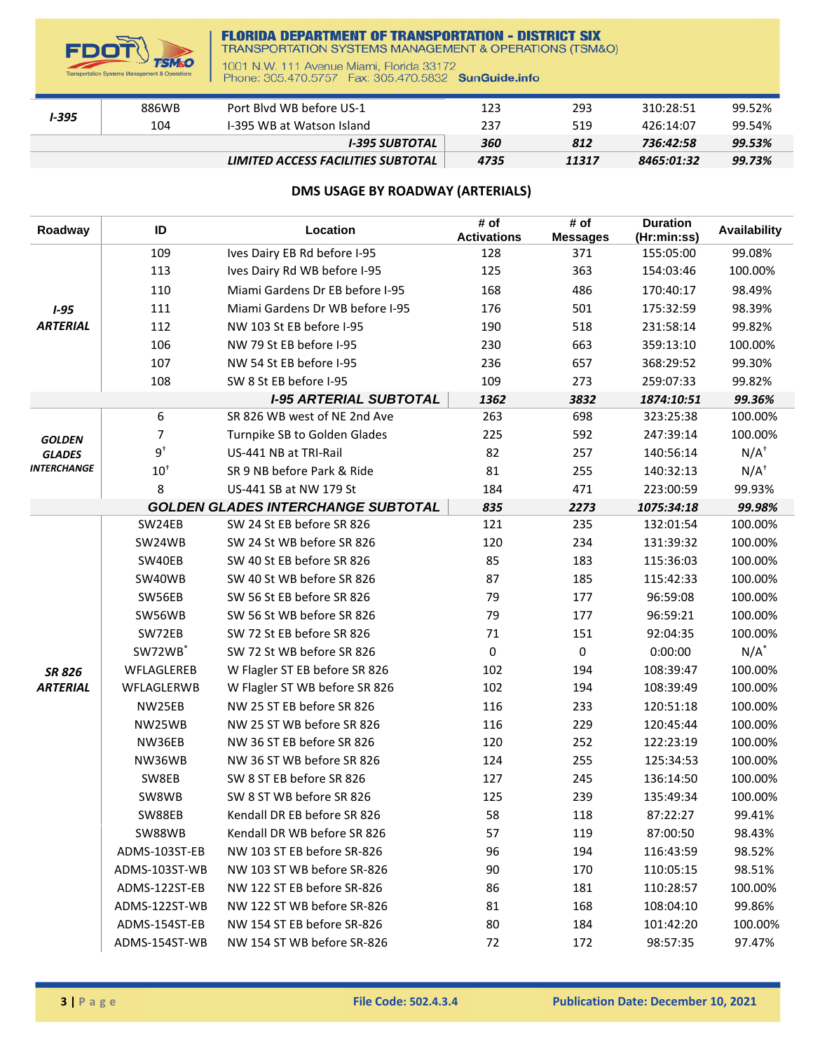

## **FLORIDA DEPARTMENT OF TRANSPORTATION - DISTRICT SIX**<br>TRANSPORTATION SYSTEMS MANAGEMENT & OPERATIONS (TSM&O)

1001 N.W. 111 Avenue Miami, Florida 33172<br>Phone: 305.470.5757 Fax: 305.470.5832 SunGuide.info

| <b>I-395</b> | 886WB | Port Blyd WB before US-1           | 123  | 293   | 310:28:51  | 99.52% |
|--------------|-------|------------------------------------|------|-------|------------|--------|
|              | 104   | I-395 WB at Watson Island          | 237  | 519   | 426:14:07  | 99.54% |
|              |       | I-395 SUBTOTAL                     | 360  | 812   | 736:42:58  | 99.53% |
|              |       | LIMITED ACCESS FACILITIES SUBTOTAL | 4735 | 11317 | 8465:01:32 | 99.73% |

## **DMS USAGE BY ROADWAY (ARTERIALS)**

| Roadway         | ID                  | Location                                  | # of<br><b>Activations</b> | # of<br><b>Messages</b> | <b>Duration</b><br>(Hr:min:ss) | <b>Availability</b> |
|-----------------|---------------------|-------------------------------------------|----------------------------|-------------------------|--------------------------------|---------------------|
|                 | 109                 | Ives Dairy EB Rd before I-95              | 128                        | 371                     | 155:05:00                      | 99.08%              |
|                 | 113                 | Ives Dairy Rd WB before I-95              | 125                        | 363                     | 154:03:46                      | 100.00%             |
|                 | 110                 | Miami Gardens Dr EB before I-95           | 168                        | 486                     | 170:40:17                      | 98.49%              |
| $1 - 95$        | 111                 | Miami Gardens Dr WB before I-95           | 176                        | 501                     | 175:32:59                      | 98.39%              |
| <b>ARTERIAL</b> | 112                 | NW 103 St EB before I-95                  | 190                        | 518                     | 231:58:14                      | 99.82%              |
|                 | 106                 | NW 79 St EB before I-95                   | 230                        | 663                     | 359:13:10                      | 100.00%             |
|                 | 107                 | NW 54 St EB before I-95                   | 236                        | 657                     | 368:29:52                      | 99.30%              |
|                 | 108                 | SW 8 St EB before I-95                    | 109                        | 273                     | 259:07:33                      | 99.82%              |
|                 |                     | <b>I-95 ARTERIAL SUBTOTAL</b>             | 1362                       | 3832                    | 1874:10:51                     | 99.36%              |
|                 | 6                   | SR 826 WB west of NE 2nd Ave              | 263                        | 698                     | 323:25:38                      | 100.00%             |
| <b>GOLDEN</b>   | 7                   | Turnpike SB to Golden Glades              | 225                        | 592                     | 247:39:14                      | 100.00%             |
| <b>GLADES</b>   | $9^{\dagger}$       | US-441 NB at TRI-Rail                     | 82                         | 257                     | 140:56:14                      | $N/A^+$             |
| INTERCHANGE     | $10^+$              | SR 9 NB before Park & Ride                | 81                         | 255                     | 140:32:13                      | $N/A^+$             |
|                 | 8                   | US-441 SB at NW 179 St                    | 184                        | 471                     | 223:00:59                      | 99.93%              |
|                 |                     | <b>GOLDEN GLADES INTERCHANGE SUBTOTAL</b> | 835                        | 2273                    | 1075:34:18                     | 99.98%              |
|                 | SW24EB              | SW 24 St EB before SR 826                 | 121                        | 235                     | 132:01:54                      | 100.00%             |
|                 | SW24WB              | SW 24 St WB before SR 826                 | 120                        | 234                     | 131:39:32                      | 100.00%             |
|                 | SW40EB              | SW 40 St EB before SR 826                 | 85                         | 183                     | 115:36:03                      | 100.00%             |
|                 | SW40WB              | SW 40 St WB before SR 826                 | 87                         | 185                     | 115:42:33                      | 100.00%             |
|                 | SW56EB              | SW 56 St EB before SR 826                 | 79                         | 177                     | 96:59:08                       | 100.00%             |
|                 | SW56WB              | SW 56 St WB before SR 826                 | 79                         | 177                     | 96:59:21                       | 100.00%             |
|                 | SW72EB              | SW 72 St EB before SR 826                 | 71                         | 151                     | 92:04:35                       | 100.00%             |
|                 | SW72WB <sup>*</sup> | SW 72 St WB before SR 826                 | 0                          | 0                       | 0:00:00                        | $N/A^*$             |
| <b>SR 826</b>   | WFLAGLEREB          | W Flagler ST EB before SR 826             | 102                        | 194                     | 108:39:47                      | 100.00%             |
| <b>ARTERIAL</b> | WFLAGLERWB          | W Flagler ST WB before SR 826             | 102                        | 194                     | 108:39:49                      | 100.00%             |
|                 | NW25EB              | NW 25 ST EB before SR 826                 | 116                        | 233                     | 120:51:18                      | 100.00%             |
|                 | NW25WB              | NW 25 ST WB before SR 826                 | 116                        | 229                     | 120:45:44                      | 100.00%             |
|                 | NW36EB              | NW 36 ST EB before SR 826                 | 120                        | 252                     | 122:23:19                      | 100.00%             |
|                 | NW36WB              | NW 36 ST WB before SR 826                 | 124                        | 255                     | 125:34:53                      | 100.00%             |
|                 | SW8EB               | SW 8 ST EB before SR 826                  | 127                        | 245                     | 136:14:50                      | 100.00%             |
|                 | SW8WB               | SW 8 ST WB before SR 826                  | 125                        | 239                     | 135:49:34                      | 100.00%             |
|                 | SW88EB              | Kendall DR EB before SR 826               | 58                         | 118                     | 87:22:27                       | 99.41%              |
|                 | SW88WB              | Kendall DR WB before SR 826               | 57                         | 119                     | 87:00:50                       | 98.43%              |
|                 | ADMS-103ST-EB       | NW 103 ST EB before SR-826                | 96                         | 194                     | 116:43:59                      | 98.52%              |
|                 | ADMS-103ST-WB       | NW 103 ST WB before SR-826                | 90                         | 170                     | 110:05:15                      | 98.51%              |
|                 | ADMS-122ST-EB       | NW 122 ST EB before SR-826                | 86                         | 181                     | 110:28:57                      | 100.00%             |
|                 | ADMS-122ST-WB       | NW 122 ST WB before SR-826                | 81                         | 168                     | 108:04:10                      | 99.86%              |
|                 | ADMS-154ST-EB       | NW 154 ST EB before SR-826                | 80                         | 184                     | 101:42:20                      | 100.00%             |
|                 | ADMS-154ST-WB       | NW 154 ST WB before SR-826                | 72                         | 172                     | 98:57:35                       | 97.47%              |